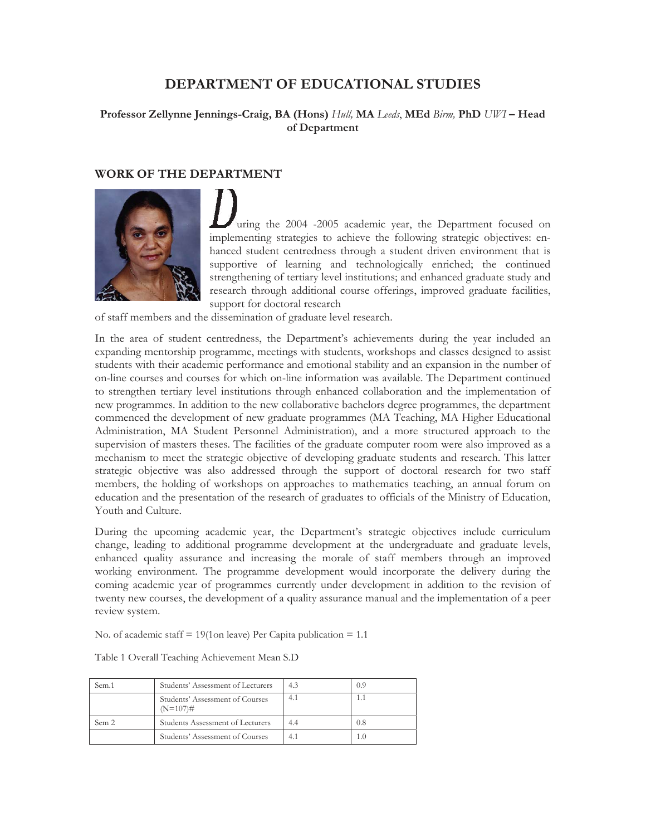# **DEPARTMENT OF EDUCATIONAL STUDIES**

## **Professor Zellynne Jennings-Craig, BA (Hons)** *Hull,* **MA** *Leeds*, **MEd** *Birm,* **PhD** *UWI* **– Head of Department**

## **WORK OF THE DEPARTMENT**



uring the 2004 -2005 academic year, the Department focused on implementing strategies to achieve the following strategic objectives: enhanced student centredness through a student driven environment that is supportive of learning and technologically enriched; the continued strengthening of tertiary level institutions; and enhanced graduate study and research through additional course offerings, improved graduate facilities, support for doctoral research

of staff members and the dissemination of graduate level research.

In the area of student centredness, the Department's achievements during the year included an expanding mentorship programme, meetings with students, workshops and classes designed to assist students with their academic performance and emotional stability and an expansion in the number of on-line courses and courses for which on-line information was available. The Department continued to strengthen tertiary level institutions through enhanced collaboration and the implementation of new programmes. In addition to the new collaborative bachelors degree programmes, the department commenced the development of new graduate programmes (MA Teaching, MA Higher Educational Administration, MA Student Personnel Administration), and a more structured approach to the supervision of masters theses. The facilities of the graduate computer room were also improved as a mechanism to meet the strategic objective of developing graduate students and research. This latter strategic objective was also addressed through the support of doctoral research for two staff members, the holding of workshops on approaches to mathematics teaching, an annual forum on education and the presentation of the research of graduates to officials of the Ministry of Education, Youth and Culture.

During the upcoming academic year, the Department's strategic objectives include curriculum change, leading to additional programme development at the undergraduate and graduate levels, enhanced quality assurance and increasing the morale of staff members through an improved working environment. The programme development would incorporate the delivery during the coming academic year of programmes currently under development in addition to the revision of twenty new courses, the development of a quality assurance manual and the implementation of a peer review system.

No. of academic staff  $= 19(1 \text{on leave})$  Per Capita publication  $= 1.1$ 

| Sem.1 | Students' Assessment of Lecturers              | 4.3 | 0.9 |
|-------|------------------------------------------------|-----|-----|
|       | Students' Assessment of Courses<br>$(N=107)$ # | 4.1 | 1.1 |
| Sem 2 | Students Assessment of Lecturers               | 4.4 | 0.8 |
|       | Students' Assessment of Courses                | 4.1 | 1.0 |

Table 1 Overall Teaching Achievement Mean S.D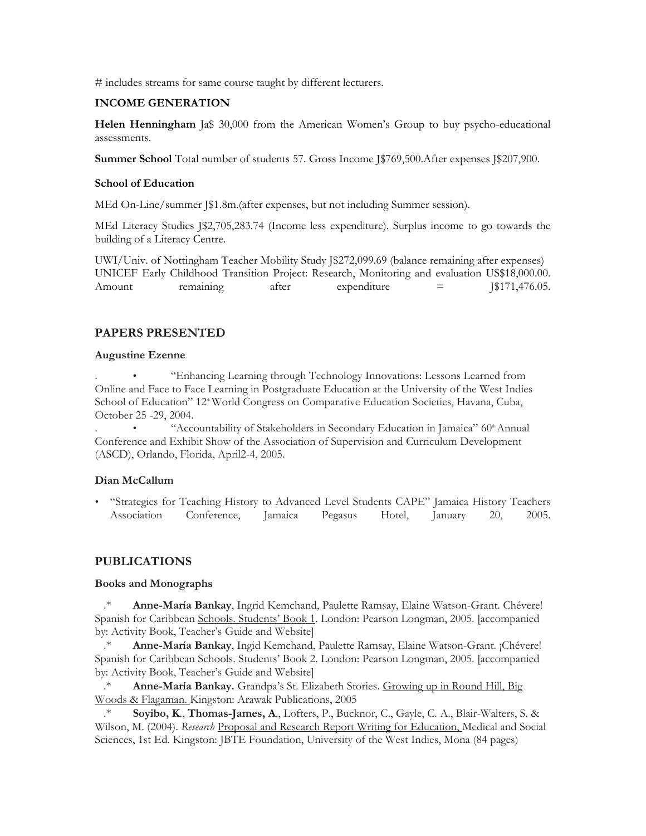# includes streams for same course taught by different lecturers.

### **INCOME GENERATION**

**Helen Henningham** Ja\$ 30,000 from the American Women's Group to buy psycho-educational assessments.

**Summer School** Total number of students 57. Gross Income J\$769,500. After expenses J\$207,900.

## **School of Education**

MEd On-Line/summer J\$1.8m.(after expenses, but not including Summer session).

MEd Literacy Studies J\$2,705,283.74 (Income less expenditure). Surplus income to go towards the building of a Literacy Centre.

UWI/Univ. of Nottingham Teacher Mobility Study J\$272,099.69 (balance remaining after expenses) UNICEF Early Childhood Transition Project: Research, Monitoring and evaluation US\$18,000.00. Amount remaining after expenditure =  $\sqrt{3171.476.05}$ .

## **PAPERS PRESENTED**

## **Augustine Ezenne**

. • "Enhancing Learning through Technology Innovations: Lessons Learned from Online and Face to Face Learning in Postgraduate Education at the University of the West Indies School of Education" 12<sup>th</sup> World Congress on Comparative Education Societies, Havana, Cuba, October 25 -29, 2004.

"Accountability of Stakeholders in Secondary Education in Jamaica" 60<sup>th</sup> Annual Conference and Exhibit Show of the Association of Supervision and Curriculum Development (ASCD), Orlando, Florida, April2-4, 2005.

## **Dian McCallum**

• "Strategies for Teaching History to Advanced Level Students CAPE" Jamaica History Teachers Association Conference, Jamaica Pegasus Hotel, January 20, 2005.

## **PUBLICATIONS**

## **Books and Monographs**

.\* **Anne-María Bankay**, Ingrid Kemchand, Paulette Ramsay, Elaine Watson-Grant. Chévere! Spanish for Caribbean Schools. Students' Book 1. London: Pearson Longman, 2005. [accompanied by: Activity Book, Teacher's Guide and Website]

.\* **Anne-María Bankay**, Ingid Kemchand, Paulette Ramsay, Elaine Watson-Grant. ¡Chévere! Spanish for Caribbean Schools. Students' Book 2. London: Pearson Longman, 2005. [accompanied by: Activity Book, Teacher's Guide and Website]

.\* **Anne-María Bankay.** Grandpa's St. Elizabeth Stories. Growing up in Round Hill, Big Woods & Flagaman. Kingston: Arawak Publications, 2005

Soyibo, K., Thomas-James, A., Lofters, P., Bucknor, C., Gayle, C. A., Blair-Walters, S. & Wilson, M. (2004). *Research* Proposal and Research Report Writing for Education, Medical and Social Sciences, 1st Ed. Kingston: JBTE Foundation, University of the West Indies, Mona (84 pages)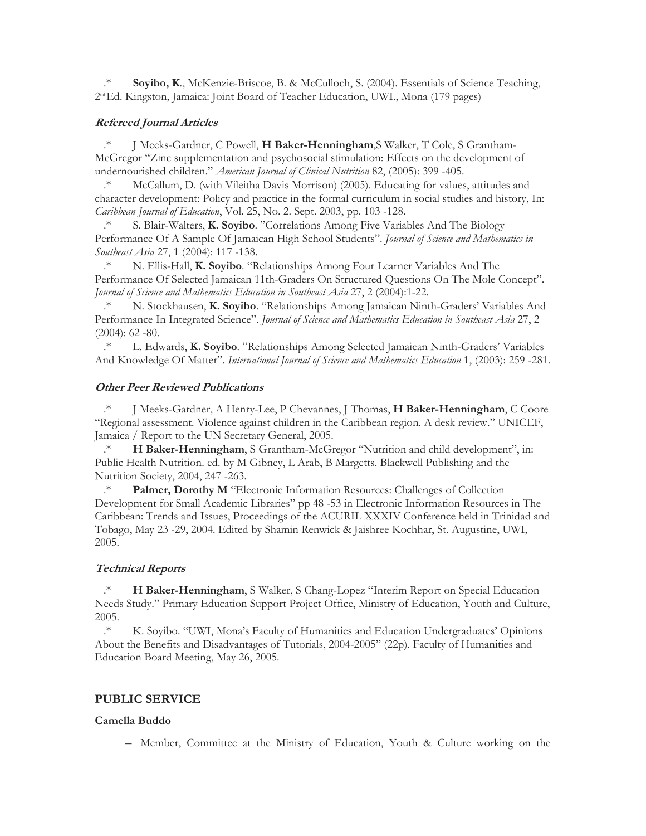Soyibo, K., McKenzie-Briscoe, B. & McCulloch, S. (2004). Essentials of Science Teaching,  $2<sup>nd</sup> Ed. Kingston, Jamaica: Joint Board of Teacher Education, UWI., Mona (179 pages)$ 

#### **Refereed Journal Articles**

.\* J Meeks-Gardner, C Powell, **H Baker-Henningham**,S Walker, T Cole, S Grantham-McGregor "Zinc supplementation and psychosocial stimulation: Effects on the development of undernourished children." *American Journal of Clinical Nutrition* 82, (2005): 399 -405.

.\* McCallum, D. (with Vileitha Davis Morrison) (2005). Educating for values, attitudes and character development: Policy and practice in the formal curriculum in social studies and history, In: *Caribbean Journal of Education*, Vol. 25, No. 2. Sept. 2003, pp. 103 -128.

.\* S. Blair-Walters, **K. Soyibo**. "Correlations Among Five Variables And The Biology Performance Of A Sample Of Jamaican High School Students". *Journal of Science and Mathematics in Southeast Asia* 27, 1 (2004): 117 -138.

.\* N. Ellis-Hall, **K. Soyibo**. "Relationships Among Four Learner Variables And The Performance Of Selected Jamaican 11th-Graders On Structured Questions On The Mole Concept". *Journal of Science and Mathematics Education in Southeast Asia* 27, 2 (2004):1-22.

N. Stockhausen, K. Soyibo. "Relationships Among Jamaican Ninth-Graders' Variables And Performance In Integrated Science". *Journal of Science and Mathematics Education in Southeast Asia* 27, 2  $(2004): 62 - 80.$ 

.\* L. Edwards, **K. Soyibo**. "Relationships Among Selected Jamaican Ninth-Graders' Variables And Knowledge Of Matter". *International Journal of Science and Mathematics Education* 1, (2003): 259 -281.

#### **Other Peer Reviewed Publications**

.\* J Meeks-Gardner, A Henry-Lee, P Chevannes, J Thomas, **H Baker-Henningham**, C Coore "Regional assessment. Violence against children in the Caribbean region. A desk review." UNICEF, Jamaica / Report to the UN Secretary General, 2005.

.\* **H Baker-Henningham**, S Grantham-McGregor "Nutrition and child development", in: Public Health Nutrition. ed. by M Gibney, L Arab, B Margetts. Blackwell Publishing and the Nutrition Society, 2004, 247 -263.

.\* **Palmer, Dorothy M** "Electronic Information Resources: Challenges of Collection Development for Small Academic Libraries" pp 48 -53 in Electronic Information Resources in The Caribbean: Trends and Issues, Proceedings of the ACURIL XXXIV Conference held in Trinidad and Tobago, May 23 -29, 2004. Edited by Shamin Renwick & Jaishree Kochhar, St. Augustine, UWI, 2005.

#### **Technical Reports**

.\* **H Baker-Henningham**, S Walker, S Chang-Lopez "Interim Report on Special Education Needs Study." Primary Education Support Project Office, Ministry of Education, Youth and Culture, 2005.

.\* K. Soyibo. "UWI, Mona's Faculty of Humanities and Education Undergraduates' Opinions About the Benefits and Disadvantages of Tutorials, 2004-2005" (22p). Faculty of Humanities and Education Board Meeting, May 26, 2005.

#### **PUBLIC SERVICE**

#### **Camella Buddo**

– Member, Committee at the Ministry of Education, Youth & Culture working on the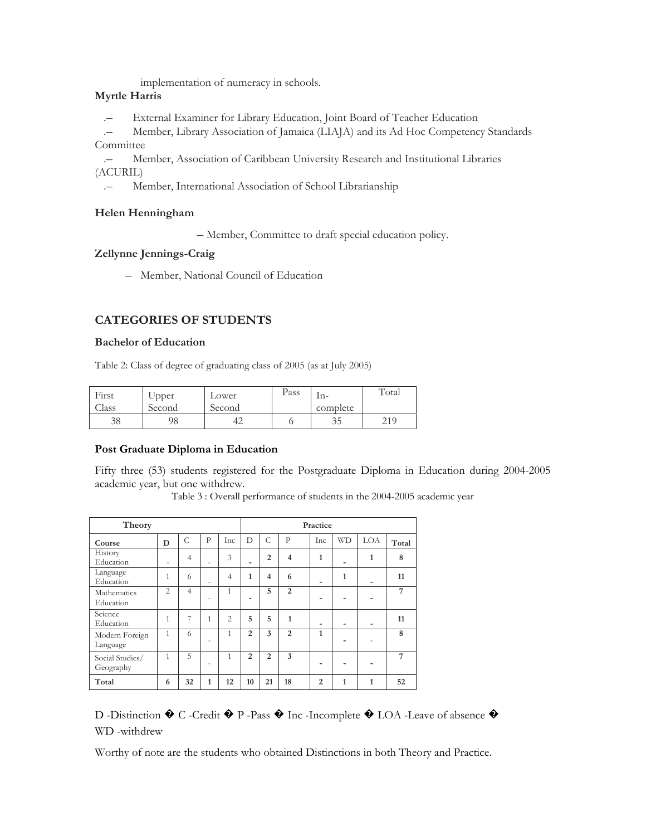implementation of numeracy in schools.

## **Myrtle Harris**

.– External Examiner for Library Education, Joint Board of Teacher Education

.– Member, Library Association of Jamaica (LIAJA) and its Ad Hoc Competency Standards **Committee** 

.– Member, Association of Caribbean University Research and Institutional Libraries (ACURIL)

Member, International Association of School Librarianship

## **Helen Henningham**

– Member, Committee to draft special education policy.

## **Zellynne Jennings-Craig**

– Member, National Council of Education

## **CATEGORIES OF STUDENTS**

#### **Bachelor of Education**

Table 2: Class of degree of graduating class of 2005 (as at July 2005)

| First<br>Llass | Upper<br>Second | Lower<br>Second | Pass | -m<br>complete | Total |
|----------------|-----------------|-----------------|------|----------------|-------|
| 38             |                 | +∠              |      | 35             | 219   |

#### **Post Graduate Diploma in Education**

Fifty three (53) students registered for the Postgraduate Diploma in Education during 2004-2005 academic year, but one withdrew.

| Theory                       |                |                |                          |                |                          |                |                | Practice                 |                          |                          |       |
|------------------------------|----------------|----------------|--------------------------|----------------|--------------------------|----------------|----------------|--------------------------|--------------------------|--------------------------|-------|
| Course                       | D              | C              | $\mathbf{p}$             | Inc            | D                        | C              | $\mathbf{p}$   | Inc                      | <b>WD</b>                | LOA                      | Total |
| History<br>Education         | ۰              | $\overline{4}$ | $\overline{\phantom{a}}$ | 3              | $\overline{\phantom{0}}$ | $\overline{2}$ | $\overline{4}$ | 1                        | $\overline{\phantom{0}}$ | 1                        | 8     |
| Language<br>Education        | 1              | 6              | ٠                        | $\overline{4}$ | 1                        | $\overline{4}$ | 6              | $\overline{\phantom{0}}$ | $\mathbf{1}$             |                          | 11    |
| Mathematics<br>Education     | $\overline{c}$ | $\overline{4}$ | ٠                        | 1              | $\overline{\phantom{0}}$ | 5              | 2              | $\blacksquare$           | $\blacksquare$           |                          | 7     |
| Science<br>Education         | 1              | 7              | 1                        | $\overline{2}$ | 5                        | 5              | 1              | $\overline{a}$           | $\overline{\phantom{0}}$ | $\overline{\phantom{0}}$ | 11    |
| Modern Foreign<br>Language   | $\mathbf{1}$   | 6              | ٠                        | 1              | $\overline{2}$           | 3              | 2              | 1                        |                          |                          | 8     |
| Social Studies/<br>Geography | 1              | $\overline{5}$ | ٠                        | $\mathbf{1}$   | $\overline{2}$           | $\overline{2}$ | 3              | $\blacksquare$           | $\blacksquare$           |                          | 7     |
| Total                        | 6              | 32             | 1                        | 12             | 10                       | 21             | 18             | $\mathfrak{D}$           | 1                        | 1                        | 52    |

Table 3 : Overall performance of students in the 2004-2005 academic year

# D -Distinction ♦ C -Credit ♦ P -Pass ♦ Inc -Incomplete ♦ LOA -Leave of absence ♦ WD -withdrew

Worthy of note are the students who obtained Distinctions in both Theory and Practice.